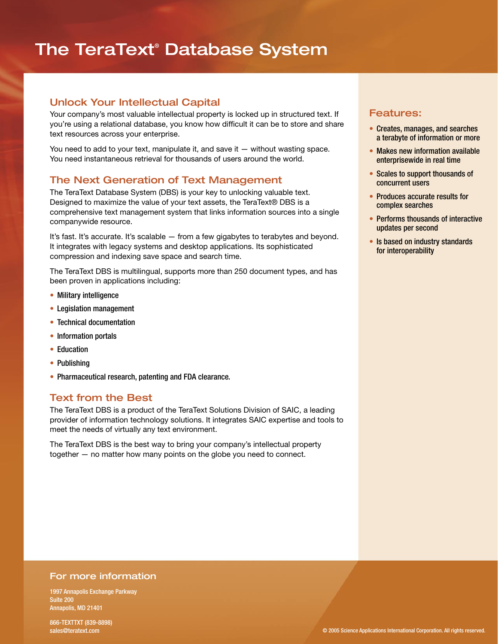## The TeraText® Database System

## Unlock Your Intellectual Capital

Your company's most valuable intellectual property is locked up in structured text. If you're using a relational database, you know how difficult it can be to store and share text resources across your enterprise.

You need to add to your text, manipulate it, and save it — without wasting space. You need instantaneous retrieval for thousands of users around the world.

## The Next Generation of Text Management

The TeraText Database System (DBS) is your key to unlocking valuable text. Designed to maximize the value of your text assets, the TeraText® DBS is a comprehensive text management system that links information sources into a single companywide resource.

It's fast. It's accurate. It's scalable — from a few gigabytes to terabytes and beyond. It integrates with legacy systems and desktop applications. Its sophisticated compression and indexing save space and search time.

The TeraText DBS is multilingual, supports more than 250 document types, and has been proven in applications including:

- Military intelligence
- Legislation management
- Technical documentation
- Information portals
- Education
- Publishing
- Pharmaceutical research, patenting and FDA clearance.

### Text from the Best

The TeraText DBS is a product of the TeraText Solutions Division of SAIC, a leading provider of information technology solutions. It integrates SAIC expertise and tools to meet the needs of virtually any text environment.

The TeraText DBS is the best way to bring your company's intellectual property together — no matter how many points on the globe you need to connect.

### Features:

- Creates, manages, and searches a terabyte of information or more
- Makes new information available enterprisewide in real time
- Scales to support thousands of concurrent users
- Produces accurate results for complex searches
- Performs thousands of interactive updates per second
- Is based on industry standards for interoperability

#### For more information

1997 Annapolis Exchange Parkway Suite 200 Annapolis, MD 21401

866-TEXTTXT (839-8898) sales@teratext.com